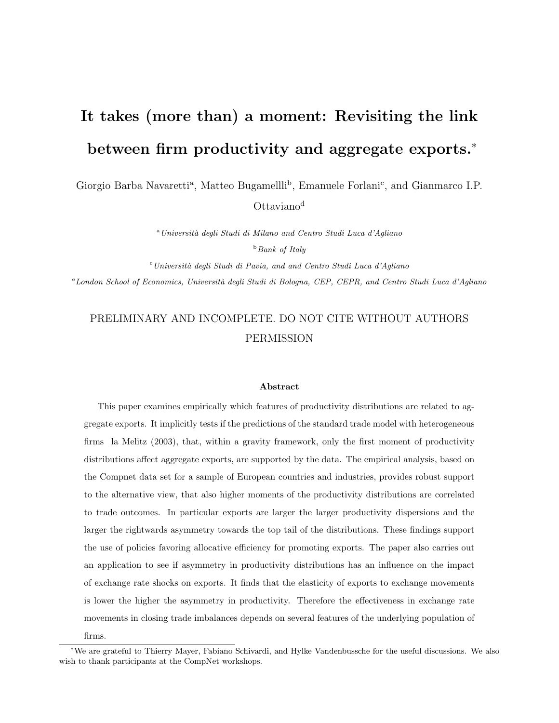# It takes (more than) a moment: Revisiting the link between firm productivity and aggregate exports.<sup>∗</sup>

Giorgio Barba Navaretti<sup>a</sup>, Matteo Bugamellli<sup>b</sup>, Emanuele Forlani<sup>c</sup>, and Gianmarco I.P. Ottaviano<sup>d</sup>

> <sup>a</sup> Università degli Studi di Milano and Centro Studi Luca d'Agliano  $b$  Bank of Italy

 $c$ Università degli Studi di Pavia, and and Centro Studi Luca d'Agliano

<sup>e</sup> London School of Economics, Università degli Studi di Bologna, CEP, CEPR, and Centro Studi Luca d'Agliano

# PRELIMINARY AND INCOMPLETE. DO NOT CITE WITHOUT AUTHORS PERMISSION

#### Abstract

This paper examines empirically which features of productivity distributions are related to aggregate exports. It implicitly tests if the predictions of the standard trade model with heterogeneous firms la Melitz (2003), that, within a gravity framework, only the first moment of productivity distributions affect aggregate exports, are supported by the data. The empirical analysis, based on the Compnet data set for a sample of European countries and industries, provides robust support to the alternative view, that also higher moments of the productivity distributions are correlated to trade outcomes. In particular exports are larger the larger productivity dispersions and the larger the rightwards asymmetry towards the top tail of the distributions. These findings support the use of policies favoring allocative efficiency for promoting exports. The paper also carries out an application to see if asymmetry in productivity distributions has an influence on the impact of exchange rate shocks on exports. It finds that the elasticity of exports to exchange movements is lower the higher the asymmetry in productivity. Therefore the effectiveness in exchange rate movements in closing trade imbalances depends on several features of the underlying population of

firms.

<sup>∗</sup>We are grateful to Thierry Mayer, Fabiano Schivardi, and Hylke Vandenbussche for the useful discussions. We also wish to thank participants at the CompNet workshops.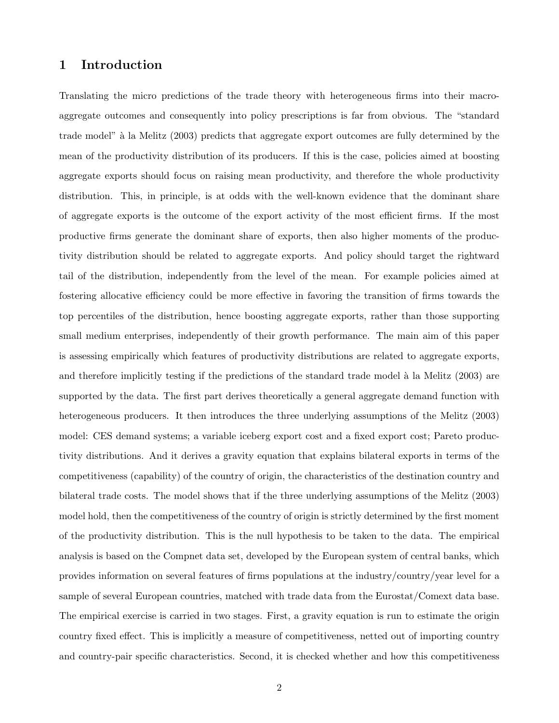# 1 Introduction

Translating the micro predictions of the trade theory with heterogeneous firms into their macroaggregate outcomes and consequently into policy prescriptions is far from obvious. The "standard trade model" à la Melitz (2003) predicts that aggregate export outcomes are fully determined by the mean of the productivity distribution of its producers. If this is the case, policies aimed at boosting aggregate exports should focus on raising mean productivity, and therefore the whole productivity distribution. This, in principle, is at odds with the well-known evidence that the dominant share of aggregate exports is the outcome of the export activity of the most efficient firms. If the most productive firms generate the dominant share of exports, then also higher moments of the productivity distribution should be related to aggregate exports. And policy should target the rightward tail of the distribution, independently from the level of the mean. For example policies aimed at fostering allocative efficiency could be more effective in favoring the transition of firms towards the top percentiles of the distribution, hence boosting aggregate exports, rather than those supporting small medium enterprises, independently of their growth performance. The main aim of this paper is assessing empirically which features of productivity distributions are related to aggregate exports, and therefore implicitly testing if the predictions of the standard trade model à la Melitz (2003) are supported by the data. The first part derives theoretically a general aggregate demand function with heterogeneous producers. It then introduces the three underlying assumptions of the Melitz (2003) model: CES demand systems; a variable iceberg export cost and a fixed export cost; Pareto productivity distributions. And it derives a gravity equation that explains bilateral exports in terms of the competitiveness (capability) of the country of origin, the characteristics of the destination country and bilateral trade costs. The model shows that if the three underlying assumptions of the Melitz (2003) model hold, then the competitiveness of the country of origin is strictly determined by the first moment of the productivity distribution. This is the null hypothesis to be taken to the data. The empirical analysis is based on the Compnet data set, developed by the European system of central banks, which provides information on several features of firms populations at the industry/country/year level for a sample of several European countries, matched with trade data from the Eurostat/Comext data base. The empirical exercise is carried in two stages. First, a gravity equation is run to estimate the origin country fixed effect. This is implicitly a measure of competitiveness, netted out of importing country and country-pair specific characteristics. Second, it is checked whether and how this competitiveness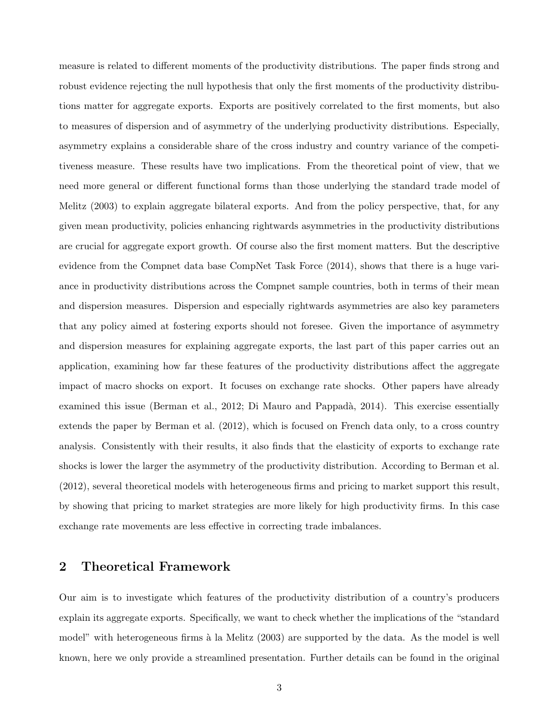measure is related to different moments of the productivity distributions. The paper finds strong and robust evidence rejecting the null hypothesis that only the first moments of the productivity distributions matter for aggregate exports. Exports are positively correlated to the first moments, but also to measures of dispersion and of asymmetry of the underlying productivity distributions. Especially, asymmetry explains a considerable share of the cross industry and country variance of the competitiveness measure. These results have two implications. From the theoretical point of view, that we need more general or different functional forms than those underlying the standard trade model of Melitz (2003) to explain aggregate bilateral exports. And from the policy perspective, that, for any given mean productivity, policies enhancing rightwards asymmetries in the productivity distributions are crucial for aggregate export growth. Of course also the first moment matters. But the descriptive evidence from the Compnet data base CompNet Task Force (2014), shows that there is a huge variance in productivity distributions across the Compnet sample countries, both in terms of their mean and dispersion measures. Dispersion and especially rightwards asymmetries are also key parameters that any policy aimed at fostering exports should not foresee. Given the importance of asymmetry and dispersion measures for explaining aggregate exports, the last part of this paper carries out an application, examining how far these features of the productivity distributions affect the aggregate impact of macro shocks on export. It focuses on exchange rate shocks. Other papers have already examined this issue (Berman et al., 2012; Di Mauro and Pappadà, 2014). This exercise essentially extends the paper by Berman et al. (2012), which is focused on French data only, to a cross country analysis. Consistently with their results, it also finds that the elasticity of exports to exchange rate shocks is lower the larger the asymmetry of the productivity distribution. According to Berman et al. (2012), several theoretical models with heterogeneous firms and pricing to market support this result, by showing that pricing to market strategies are more likely for high productivity firms. In this case exchange rate movements are less effective in correcting trade imbalances.

## 2 Theoretical Framework

Our aim is to investigate which features of the productivity distribution of a country's producers explain its aggregate exports. Specifically, we want to check whether the implications of the "standard model" with heterogeneous firms à la Melitz (2003) are supported by the data. As the model is well known, here we only provide a streamlined presentation. Further details can be found in the original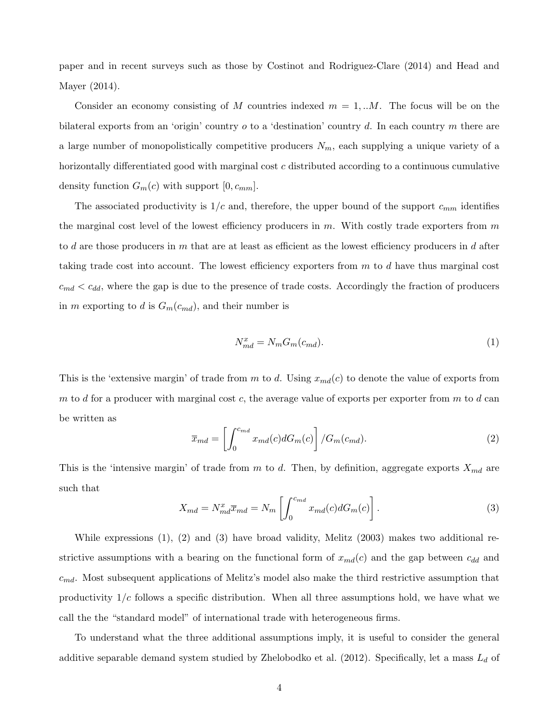paper and in recent surveys such as those by Costinot and Rodriguez-Clare (2014) and Head and Mayer (2014).

Consider an economy consisting of M countries indexed  $m = 1, ...M$ . The focus will be on the bilateral exports from an 'origin' country  $o$  to a 'destination' country  $d$ . In each country  $m$  there are a large number of monopolistically competitive producers  $N_m$ , each supplying a unique variety of a horizontally differentiated good with marginal cost c distributed according to a continuous cumulative density function  $G_m(c)$  with support  $[0, c_{mm}]$ .

The associated productivity is  $1/c$  and, therefore, the upper bound of the support  $c_{mm}$  identifies the marginal cost level of the lowest efficiency producers in  $m$ . With costly trade exporters from  $m$ to d are those producers in  $m$  that are at least as efficient as the lowest efficiency producers in  $d$  after taking trade cost into account. The lowest efficiency exporters from  $m$  to  $d$  have thus marginal cost  $c_{md} < c_{dd}$ , where the gap is due to the presence of trade costs. Accordingly the fraction of producers in m exporting to d is  $G_m(c_{md})$ , and their number is

$$
N_{md}^x = N_m G_m (c_{md}).\tag{1}
$$

This is the 'extensive margin' of trade from m to d. Using  $x_{md}(c)$  to denote the value of exports from m to d for a producer with marginal cost c, the average value of exports per exporter from m to d can be written as

$$
\overline{x}_{md} = \left[ \int_0^{c_{md}} x_{md}(c) dG_m(c) \right] / G_m(c_{md}). \tag{2}
$$

This is the 'intensive margin' of trade from m to d. Then, by definition, aggregate exports  $X_{md}$  are such that

$$
X_{md} = N_{md}^x \overline{x}_{md} = N_m \left[ \int_0^{c_{md}} x_{md}(c) dG_m(c) \right]. \tag{3}
$$

While expressions (1), (2) and (3) have broad validity, Melitz (2003) makes two additional restrictive assumptions with a bearing on the functional form of  $x_{md}(c)$  and the gap between  $c_{dd}$  and  $c_{md}$ . Most subsequent applications of Melitz's model also make the third restrictive assumption that productivity  $1/c$  follows a specific distribution. When all three assumptions hold, we have what we call the the "standard model" of international trade with heterogeneous firms.

To understand what the three additional assumptions imply, it is useful to consider the general additive separable demand system studied by Zhelobodko et al. (2012). Specifically, let a mass  $L_d$  of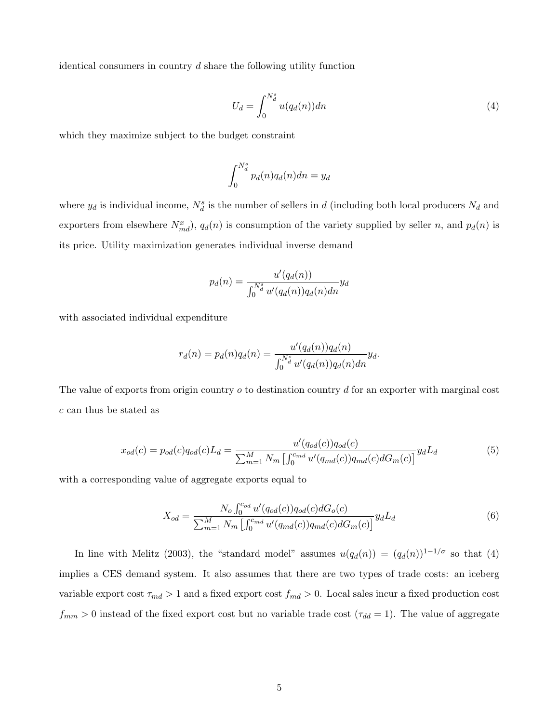identical consumers in country  $d$  share the following utility function

$$
U_d = \int_0^{N_d^s} u(q_d(n))dn \tag{4}
$$

which they maximize subject to the budget constraint

$$
\int_0^{N_d^s} p_d(n)q_d(n)dn = y_d
$$

where  $y_d$  is individual income,  $N_d^s$  is the number of sellers in d (including both local producers  $N_d$  and exporters from elsewhere  $N_{md}^x$ ,  $q_d(n)$  is consumption of the variety supplied by seller n, and  $p_d(n)$  is its price. Utility maximization generates individual inverse demand

$$
p_d(n) = \frac{u'(q_d(n))}{\int_0^{N_d^s} u'(q_d(n))q_d(n)dn} y_d
$$

with associated individual expenditure

$$
r_d(n) = p_d(n)q_d(n) = \frac{u'(q_d(n))q_d(n)}{\int_0^{N_d^s} u'(q_d(n))q_d(n)dn} y_d.
$$

The value of exports from origin country *o* to destination country *d* for an exporter with marginal cost c can thus be stated as

$$
x_{od}(c) = p_{od}(c)q_{od}(c)L_d = \frac{u'(q_{od}(c))q_{od}(c)}{\sum_{m=1}^{M} N_m \left[ \int_0^{c_{md}} u'(q_{md}(c))q_{md}(c)dG_m(c) \right]} y_dL_d \tag{5}
$$

with a corresponding value of aggregate exports equal to

$$
X_{od} = \frac{N_o \int_0^{c_{od}} u'(q_{od}(c)) q_{od}(c) dG_o(c)}{\sum_{m=1}^M N_m \left[ \int_0^{c_{md}} u'(q_{md}(c)) q_{md}(c) dG_m(c) \right]} y_d L_d
$$
(6)

In line with Melitz (2003), the "standard model" assumes  $u(q_d(n)) = (q_d(n))^{1-1/\sigma}$  so that (4) implies a CES demand system. It also assumes that there are two types of trade costs: an iceberg variable export cost  $\tau_{md} > 1$  and a fixed export cost  $f_{md} > 0$ . Local sales incur a fixed production cost  $f_{mm} > 0$  instead of the fixed export cost but no variable trade cost  $(\tau_{dd} = 1)$ . The value of aggregate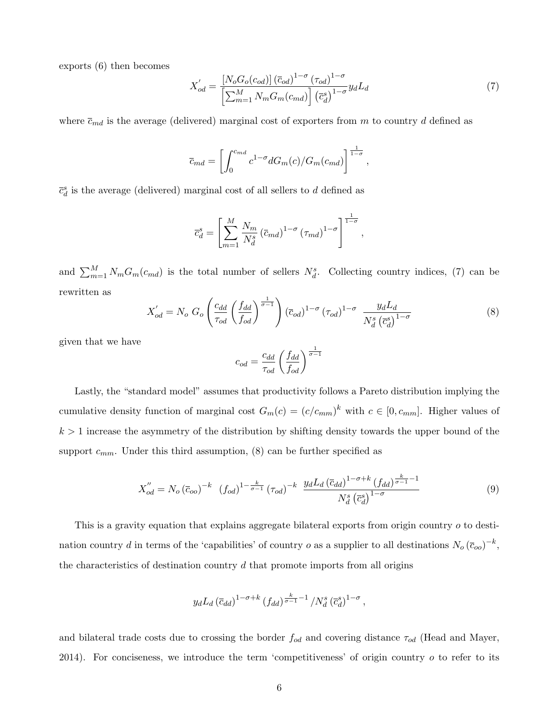exports (6) then becomes

$$
X'_{od} = \frac{\left[N_o G_o(c_{od})\right] \left(\overline{c}_{od}\right)^{1-\sigma} \left(\tau_{od}\right)^{1-\sigma}}{\left[\sum_{m=1}^{M} N_m G_m(c_{md})\right] \left(\overline{c}_d^s\right)^{1-\sigma}} y_d L_d \tag{7}
$$

where  $\bar{c}_{md}$  is the average (delivered) marginal cost of exporters from m to country d defined as

$$
\overline{c}_{md} = \left[ \int_0^{c_{md}} c^{1-\sigma} dG_m(c) / G_m(c_{md}) \right]^{\frac{1}{1-\sigma}},
$$

 $\bar{c}^s_d$  is the average (delivered) marginal cost of all sellers to  $d$  defined as

$$
\overline{c}_d^s = \left[ \sum_{m=1}^M \frac{N_m}{N_d^s} \left( \overline{c}_{md} \right)^{1-\sigma} \left( \tau_{md} \right)^{1-\sigma} \right]^{\frac{1}{1-\sigma}},
$$

and  $\sum_{m=1}^{M} N_m G_m(c_{md})$  is the total number of sellers  $N_d^s$ . Collecting country indices, (7) can be rewritten as

$$
X'_{od} = N_o G_o \left(\frac{c_{dd}}{\tau_{od}} \left(\frac{f_{dd}}{f_{od}}\right)^{\frac{1}{\sigma - 1}}\right) \left(\overline{c}_{od}\right)^{1 - \sigma} \left(\tau_{od}\right)^{1 - \sigma} \frac{y_d L_d}{N_d^s \left(\overline{c}_d^s\right)^{1 - \sigma}}
$$
(8)

given that we have

$$
c_{od} = \frac{c_{dd}}{\tau_{od}} \left(\frac{f_{dd}}{f_{od}}\right)^{\frac{1}{\sigma - 1}}
$$

Lastly, the "standard model" assumes that productivity follows a Pareto distribution implying the cumulative density function of marginal cost  $G_m(c) = (c/c_{mm})^k$  with  $c \in [0, c_{mm}]$ . Higher values of  $k > 1$  increase the asymmetry of the distribution by shifting density towards the upper bound of the support  $c_{mm}$ . Under this third assumption, (8) can be further specified as

$$
X_{od}^{"} = N_o \left(\bar{c}_{oo}\right)^{-k} \left(f_{od}\right)^{1-\frac{k}{\sigma-1}} \left(\tau_{od}\right)^{-k} \frac{y_d L_d \left(\bar{c}_{dd}\right)^{1-\sigma+k} \left(f_{dd}\right)^{\frac{k}{\sigma-1}-1}}{N_d^s \left(\bar{c}_d^s\right)^{1-\sigma}}
$$
\n(9)

This is a gravity equation that explains aggregate bilateral exports from origin country o to destination country d in terms of the 'capabilities' of country o as a supplier to all destinations  $N_o (\bar{c}_{oo})^{-k}$ , the characteristics of destination country  $d$  that promote imports from all origins

$$
y_d L_d \left(\overline{c}_{dd}\right)^{1-\sigma+k} \left(f_{dd}\right)^{\frac{k}{\sigma-1}-1}/N_d^s \left(\overline{c}_d^s\right)^{1-\sigma},
$$

and bilateral trade costs due to crossing the border  $f_{od}$  and covering distance  $\tau_{od}$  (Head and Mayer, 2014). For conciseness, we introduce the term 'competitiveness' of origin country  $o$  to refer to its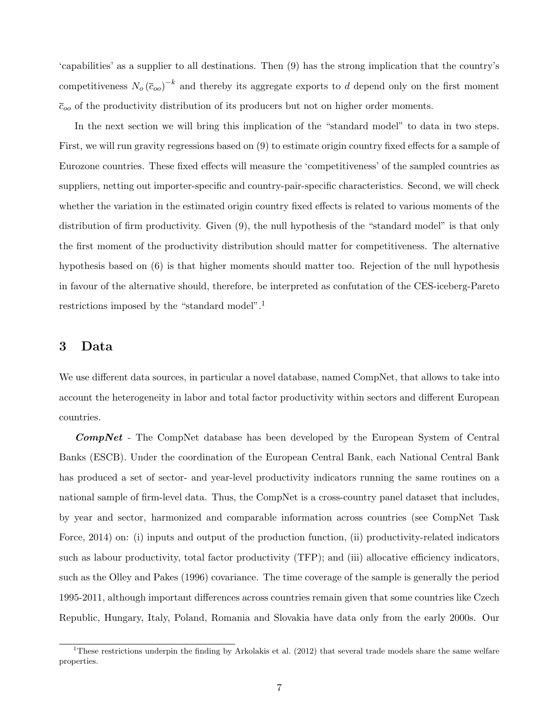'capabilities' as a supplier to all destinations. Then (9) has the strong implication that the country's competitiveness  $N_o(\bar{c}_{oo})^{-k}$  and thereby its aggregate exports to d depend only on the first moment  $\bar{c}_{oo}$  of the productivity distribution of its producers but not on higher order moments.

In the next section we will bring this implication of the "standard model" to data in two steps. First, we will run gravity regressions based on (9) to estimate origin country fixed effects for a sample of Eurozone countries. These fixed effects will measure the 'competitiveness' of the sampled countries as suppliers, netting out importer-specific and country-pair-specific characteristics. Second, we will check whether the variation in the estimated origin country fixed effects is related to various moments of the distribution of firm productivity. Given (9), the null hypothesis of the "standard model" is that only the first moment of the productivity distribution should matter for competitiveness. The alternative hypothesis based on (6) is that higher moments should matter too. Rejection of the null hypothesis in favour of the alternative should, therefore, be interpreted as confutation of the CES-iceberg-Pareto restrictions imposed by the "standard model".<sup>1</sup>

## 3 Data

We use different data sources, in particular a novel database, named CompNet, that allows to take into account the heterogeneity in labor and total factor productivity within sectors and different European countries.

CompNet - The CompNet database has been developed by the European System of Central Banks (ESCB). Under the coordination of the European Central Bank, each National Central Bank has produced a set of sector- and year-level productivity indicators running the same routines on a national sample of firm-level data. Thus, the CompNet is a cross-country panel dataset that includes, by year and sector, harmonized and comparable information across countries (see CompNet Task Force, 2014) on: (i) inputs and output of the production function, (ii) productivity-related indicators such as labour productivity, total factor productivity (TFP); and (iii) allocative efficiency indicators, such as the Olley and Pakes (1996) covariance. The time coverage of the sample is generally the period 1995-2011, although important differences across countries remain given that some countries like Czech Republic, Hungary, Italy, Poland, Romania and Slovakia have data only from the early 2000s. Our

<sup>&</sup>lt;sup>1</sup>These restrictions underpin the finding by Arkolakis et al. (2012) that several trade models share the same welfare properties.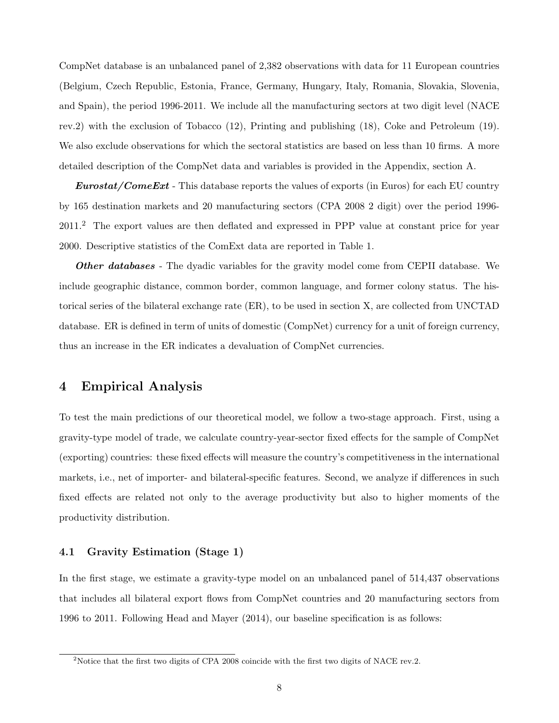CompNet database is an unbalanced panel of 2,382 observations with data for 11 European countries (Belgium, Czech Republic, Estonia, France, Germany, Hungary, Italy, Romania, Slovakia, Slovenia, and Spain), the period 1996-2011. We include all the manufacturing sectors at two digit level (NACE rev.2) with the exclusion of Tobacco (12), Printing and publishing (18), Coke and Petroleum (19). We also exclude observations for which the sectoral statistics are based on less than 10 firms. A more detailed description of the CompNet data and variables is provided in the Appendix, section A.

**Eurostat/ComeExt** - This database reports the values of exports (in Euros) for each EU country by 165 destination markets and 20 manufacturing sectors (CPA 2008 2 digit) over the period 1996- 2011.<sup>2</sup> The export values are then deflated and expressed in PPP value at constant price for year 2000. Descriptive statistics of the ComExt data are reported in Table 1.

**Other databases** - The dyadic variables for the gravity model come from CEPII database. We include geographic distance, common border, common language, and former colony status. The historical series of the bilateral exchange rate (ER), to be used in section X, are collected from UNCTAD database. ER is defined in term of units of domestic (CompNet) currency for a unit of foreign currency, thus an increase in the ER indicates a devaluation of CompNet currencies.

# 4 Empirical Analysis

To test the main predictions of our theoretical model, we follow a two-stage approach. First, using a gravity-type model of trade, we calculate country-year-sector fixed effects for the sample of CompNet (exporting) countries: these fixed effects will measure the country's competitiveness in the international markets, i.e., net of importer- and bilateral-specific features. Second, we analyze if differences in such fixed effects are related not only to the average productivity but also to higher moments of the productivity distribution.

#### 4.1 Gravity Estimation (Stage 1)

In the first stage, we estimate a gravity-type model on an unbalanced panel of 514,437 observations that includes all bilateral export flows from CompNet countries and 20 manufacturing sectors from 1996 to 2011. Following Head and Mayer (2014), our baseline specification is as follows:

<sup>&</sup>lt;sup>2</sup>Notice that the first two digits of CPA 2008 coincide with the first two digits of NACE rev.2.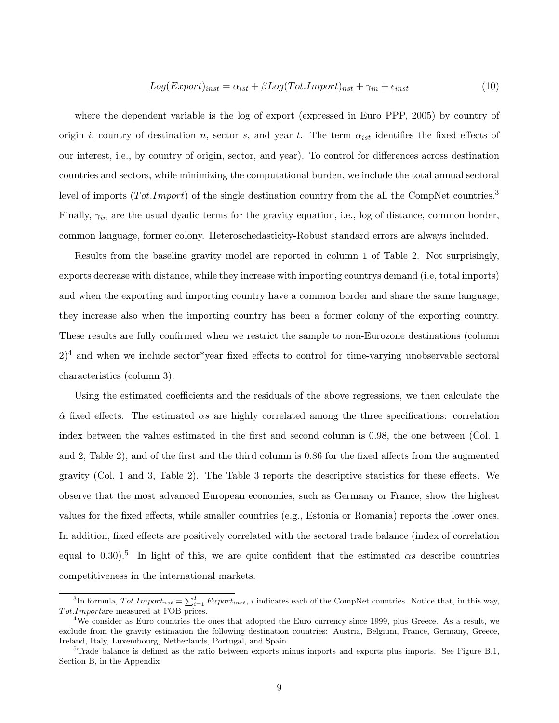$$
Log(Export)_{inst} = \alpha_{ist} + \beta Log(Tot.Import)_{nst} + \gamma_{in} + \epsilon_{inst}
$$
\n(10)

where the dependent variable is the log of export (expressed in Euro PPP, 2005) by country of origin i, country of destination n, sector s, and year t. The term  $\alpha_{ist}$  identifies the fixed effects of our interest, i.e., by country of origin, sector, and year). To control for differences across destination countries and sectors, while minimizing the computational burden, we include the total annual sectoral level of imports (Tot.Import) of the single destination country from the all the CompNet countries.<sup>3</sup> Finally,  $\gamma_{in}$  are the usual dyadic terms for the gravity equation, i.e., log of distance, common border, common language, former colony. Heteroschedasticity-Robust standard errors are always included.

Results from the baseline gravity model are reported in column 1 of Table 2. Not surprisingly, exports decrease with distance, while they increase with importing countrys demand (i.e, total imports) and when the exporting and importing country have a common border and share the same language; they increase also when the importing country has been a former colony of the exporting country. These results are fully confirmed when we restrict the sample to non-Eurozone destinations (column  $2)^4$  and when we include sector\*year fixed effects to control for time-varying unobservable sectoral characteristics (column 3).

Using the estimated coefficients and the residuals of the above regressions, we then calculate the  $\hat{\alpha}$  fixed effects. The estimated  $\alpha s$  are highly correlated among the three specifications: correlation index between the values estimated in the first and second column is 0.98, the one between (Col. 1 and 2, Table 2), and of the first and the third column is 0.86 for the fixed affects from the augmented gravity (Col. 1 and 3, Table 2). The Table 3 reports the descriptive statistics for these effects. We observe that the most advanced European economies, such as Germany or France, show the highest values for the fixed effects, while smaller countries (e.g., Estonia or Romania) reports the lower ones. In addition, fixed effects are positively correlated with the sectoral trade balance (index of correlation equal to 0.30).<sup>5</sup> In light of this, we are quite confident that the estimated  $\alpha s$  describe countries competitiveness in the international markets.

<sup>&</sup>lt;sup>3</sup>In formula,  $Tot. Import_{nst} = \sum_{i=1}^{I} Export_{inst}, i$  indicates each of the CompNet countries. Notice that, in this way,  $Tot. Importare measured at FOB prices.$ 

<sup>4</sup>We consider as Euro countries the ones that adopted the Euro currency since 1999, plus Greece. As a result, we exclude from the gravity estimation the following destination countries: Austria, Belgium, France, Germany, Greece, Ireland, Italy, Luxembourg, Netherlands, Portugal, and Spain.

 $5$ Trade balance is defined as the ratio between exports minus imports and exports plus imports. See Figure B.1, Section B, in the Appendix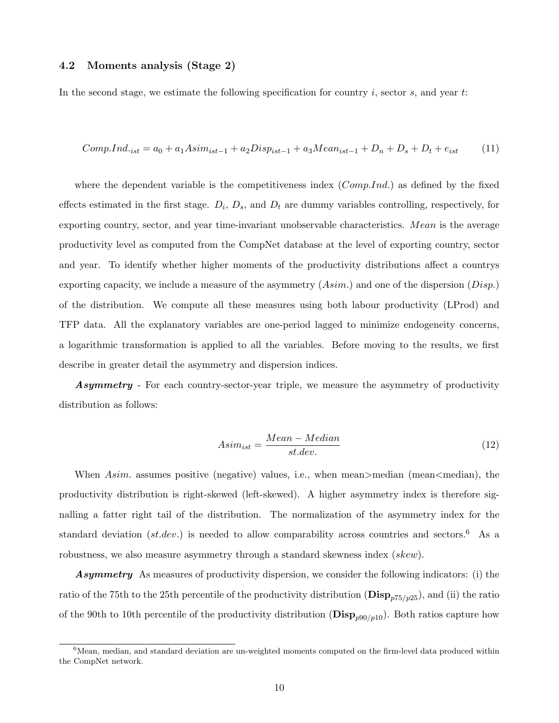#### 4.2 Moments analysis (Stage 2)

In the second stage, we estimate the following specification for country  $i$ , sector  $s$ , and year  $t$ :

Comp.Ind.<sub>ist</sub> = 
$$
a_0 + a_1 A \sin n_{ist-1} + a_2 D \sin n_{ist-1} + a_3 M \cos n_{ist-1} + D_n + D_s + D_t + \epsilon_{ist}
$$
 (11)

where the dependent variable is the competitiveness index  $(Comp.Ind.)$  as defined by the fixed effects estimated in the first stage.  $D_i$ ,  $D_s$ , and  $D_t$  are dummy variables controlling, respectively, for exporting country, sector, and year time-invariant unobservable characteristics. Mean is the average productivity level as computed from the CompNet database at the level of exporting country, sector and year. To identify whether higher moments of the productivity distributions affect a countrys exporting capacity, we include a measure of the asymmetry  $(Asim.)$  and one of the dispersion  $(Disp.)$ of the distribution. We compute all these measures using both labour productivity (LProd) and TFP data. All the explanatory variables are one-period lagged to minimize endogeneity concerns, a logarithmic transformation is applied to all the variables. Before moving to the results, we first describe in greater detail the asymmetry and dispersion indices.

**Asymmetry** - For each country-sector-year triple, we measure the asymmetry of productivity distribution as follows:

$$
Asim_{ist} = \frac{Mean - Median}{st.dev.}
$$
\n(12)

When  $Asim.$  assumes positive (negative) values, i.e., when mean>median (mean<median), the productivity distribution is right-skewed (left-skewed). A higher asymmetry index is therefore signalling a fatter right tail of the distribution. The normalization of the asymmetry index for the standard deviation (st.dev.) is needed to allow comparability across countries and sectors.<sup>6</sup> As a robustness, we also measure asymmetry through a standard skewness index (skew).

Asymmetry As measures of productivity dispersion, we consider the following indicators: (i) the ratio of the 75th to the 25th percentile of the productivity distribution ( $\mathbf{Disp}_{p75/p25}$ ), and (ii) the ratio of the 90th to 10th percentile of the productivity distribution  $(Disp_{p90/p10})$ . Both ratios capture how

 $6$ Mean, median, and standard deviation are un-weighted moments computed on the firm-level data produced within the CompNet network.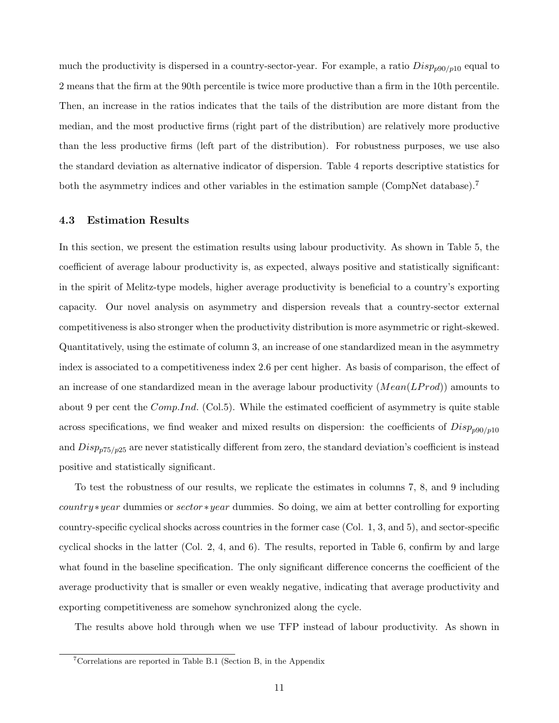much the productivity is dispersed in a country-sector-year. For example, a ratio  $Disp_{p90/p10}$  equal to 2 means that the firm at the 90th percentile is twice more productive than a firm in the 10th percentile. Then, an increase in the ratios indicates that the tails of the distribution are more distant from the median, and the most productive firms (right part of the distribution) are relatively more productive than the less productive firms (left part of the distribution). For robustness purposes, we use also the standard deviation as alternative indicator of dispersion. Table 4 reports descriptive statistics for both the asymmetry indices and other variables in the estimation sample (CompNet database).<sup>7</sup>

#### 4.3 Estimation Results

In this section, we present the estimation results using labour productivity. As shown in Table 5, the coefficient of average labour productivity is, as expected, always positive and statistically significant: in the spirit of Melitz-type models, higher average productivity is beneficial to a country's exporting capacity. Our novel analysis on asymmetry and dispersion reveals that a country-sector external competitiveness is also stronger when the productivity distribution is more asymmetric or right-skewed. Quantitatively, using the estimate of column 3, an increase of one standardized mean in the asymmetry index is associated to a competitiveness index 2.6 per cent higher. As basis of comparison, the effect of an increase of one standardized mean in the average labour productivity  $(Mean(LProd))$  amounts to about 9 per cent the  $Comp. Ind.$  (Col.5). While the estimated coefficient of asymmetry is quite stable across specifications, we find weaker and mixed results on dispersion: the coefficients of  $Disp_{p90/n10}$ and  $Disp_{p75/p25}$  are never statistically different from zero, the standard deviation's coefficient is instead positive and statistically significant.

To test the robustness of our results, we replicate the estimates in columns 7, 8, and 9 including country ∗year dummies or sector ∗year dummies. So doing, we aim at better controlling for exporting country-specific cyclical shocks across countries in the former case (Col. 1, 3, and 5), and sector-specific cyclical shocks in the latter (Col. 2, 4, and 6). The results, reported in Table 6, confirm by and large what found in the baseline specification. The only significant difference concerns the coefficient of the average productivity that is smaller or even weakly negative, indicating that average productivity and exporting competitiveness are somehow synchronized along the cycle.

The results above hold through when we use TFP instead of labour productivity. As shown in

 $7$ Correlations are reported in Table B.1 (Section B, in the Appendix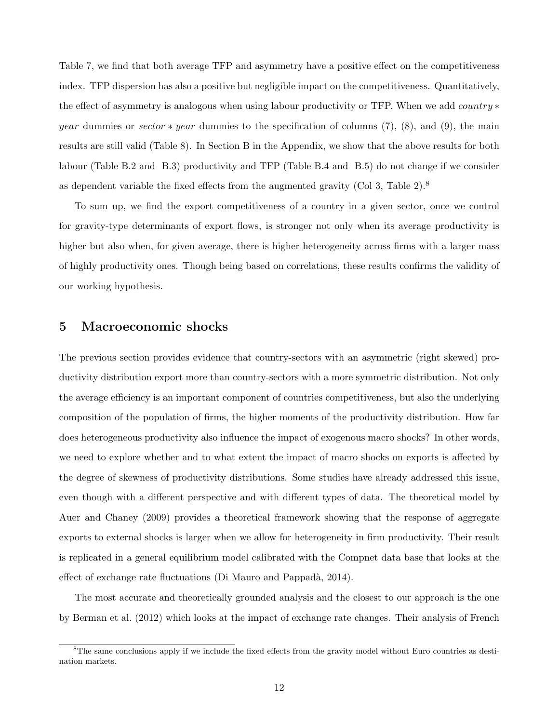Table 7, we find that both average TFP and asymmetry have a positive effect on the competitiveness index. TFP dispersion has also a positive but negligible impact on the competitiveness. Quantitatively, the effect of asymmetry is analogous when using labour productivity or TFP. When we add *country*  $*$ year dummies or sector  $\ast$  year dummies to the specification of columns (7), (8), and (9), the main results are still valid (Table 8). In Section B in the Appendix, we show that the above results for both labour (Table B.2 and B.3) productivity and TFP (Table B.4 and B.5) do not change if we consider as dependent variable the fixed effects from the augmented gravity (Col 3, Table  $2$ ).<sup>8</sup>

To sum up, we find the export competitiveness of a country in a given sector, once we control for gravity-type determinants of export flows, is stronger not only when its average productivity is higher but also when, for given average, there is higher heterogeneity across firms with a larger mass of highly productivity ones. Though being based on correlations, these results confirms the validity of our working hypothesis.

## 5 Macroeconomic shocks

The previous section provides evidence that country-sectors with an asymmetric (right skewed) productivity distribution export more than country-sectors with a more symmetric distribution. Not only the average efficiency is an important component of countries competitiveness, but also the underlying composition of the population of firms, the higher moments of the productivity distribution. How far does heterogeneous productivity also influence the impact of exogenous macro shocks? In other words, we need to explore whether and to what extent the impact of macro shocks on exports is affected by the degree of skewness of productivity distributions. Some studies have already addressed this issue, even though with a different perspective and with different types of data. The theoretical model by Auer and Chaney (2009) provides a theoretical framework showing that the response of aggregate exports to external shocks is larger when we allow for heterogeneity in firm productivity. Their result is replicated in a general equilibrium model calibrated with the Compnet data base that looks at the effect of exchange rate fluctuations (Di Mauro and Pappadà, 2014).

The most accurate and theoretically grounded analysis and the closest to our approach is the one by Berman et al. (2012) which looks at the impact of exchange rate changes. Their analysis of French

 ${}^{8}$ The same conclusions apply if we include the fixed effects from the gravity model without Euro countries as destination markets.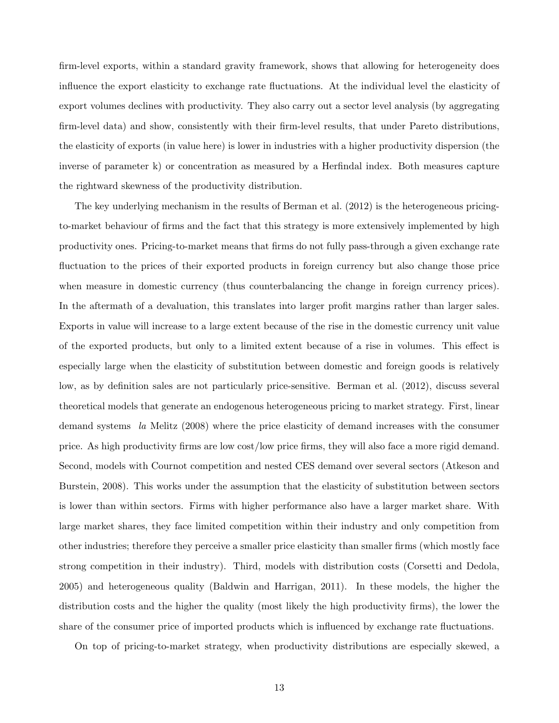firm-level exports, within a standard gravity framework, shows that allowing for heterogeneity does influence the export elasticity to exchange rate fluctuations. At the individual level the elasticity of export volumes declines with productivity. They also carry out a sector level analysis (by aggregating firm-level data) and show, consistently with their firm-level results, that under Pareto distributions, the elasticity of exports (in value here) is lower in industries with a higher productivity dispersion (the inverse of parameter k) or concentration as measured by a Herfindal index. Both measures capture the rightward skewness of the productivity distribution.

The key underlying mechanism in the results of Berman et al. (2012) is the heterogeneous pricingto-market behaviour of firms and the fact that this strategy is more extensively implemented by high productivity ones. Pricing-to-market means that firms do not fully pass-through a given exchange rate fluctuation to the prices of their exported products in foreign currency but also change those price when measure in domestic currency (thus counterbalancing the change in foreign currency prices). In the aftermath of a devaluation, this translates into larger profit margins rather than larger sales. Exports in value will increase to a large extent because of the rise in the domestic currency unit value of the exported products, but only to a limited extent because of a rise in volumes. This effect is especially large when the elasticity of substitution between domestic and foreign goods is relatively low, as by definition sales are not particularly price-sensitive. Berman et al. (2012), discuss several theoretical models that generate an endogenous heterogeneous pricing to market strategy. First, linear demand systems la Melitz (2008) where the price elasticity of demand increases with the consumer price. As high productivity firms are low cost/low price firms, they will also face a more rigid demand. Second, models with Cournot competition and nested CES demand over several sectors (Atkeson and Burstein, 2008). This works under the assumption that the elasticity of substitution between sectors is lower than within sectors. Firms with higher performance also have a larger market share. With large market shares, they face limited competition within their industry and only competition from other industries; therefore they perceive a smaller price elasticity than smaller firms (which mostly face strong competition in their industry). Third, models with distribution costs (Corsetti and Dedola, 2005) and heterogeneous quality (Baldwin and Harrigan, 2011). In these models, the higher the distribution costs and the higher the quality (most likely the high productivity firms), the lower the share of the consumer price of imported products which is influenced by exchange rate fluctuations.

On top of pricing-to-market strategy, when productivity distributions are especially skewed, a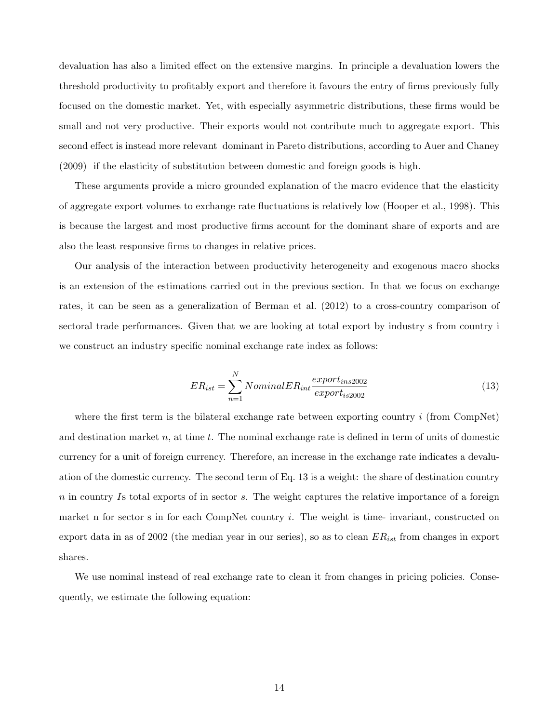devaluation has also a limited effect on the extensive margins. In principle a devaluation lowers the threshold productivity to profitably export and therefore it favours the entry of firms previously fully focused on the domestic market. Yet, with especially asymmetric distributions, these firms would be small and not very productive. Their exports would not contribute much to aggregate export. This second effect is instead more relevant dominant in Pareto distributions, according to Auer and Chaney (2009) if the elasticity of substitution between domestic and foreign goods is high.

These arguments provide a micro grounded explanation of the macro evidence that the elasticity of aggregate export volumes to exchange rate fluctuations is relatively low (Hooper et al., 1998). This is because the largest and most productive firms account for the dominant share of exports and are also the least responsive firms to changes in relative prices.

Our analysis of the interaction between productivity heterogeneity and exogenous macro shocks is an extension of the estimations carried out in the previous section. In that we focus on exchange rates, it can be seen as a generalization of Berman et al. (2012) to a cross-country comparison of sectoral trade performances. Given that we are looking at total export by industry s from country i we construct an industry specific nominal exchange rate index as follows:

$$
ER_{ist} = \sum_{n=1}^{N} NominalER_{int} \frac{export_{ins2002}}{export_{is2002}}
$$
\n(13)

where the first term is the bilateral exchange rate between exporting country  $i$  (from CompNet) and destination market n, at time t. The nominal exchange rate is defined in term of units of domestic currency for a unit of foreign currency. Therefore, an increase in the exchange rate indicates a devaluation of the domestic currency. The second term of Eq. 13 is a weight: the share of destination country  $n$  in country Is total exports of in sector  $s$ . The weight captures the relative importance of a foreign market n for sector s in for each CompNet country  $i$ . The weight is time- invariant, constructed on export data in as of 2002 (the median year in our series), so as to clean  $ER_{ist}$  from changes in export shares.

We use nominal instead of real exchange rate to clean it from changes in pricing policies. Consequently, we estimate the following equation: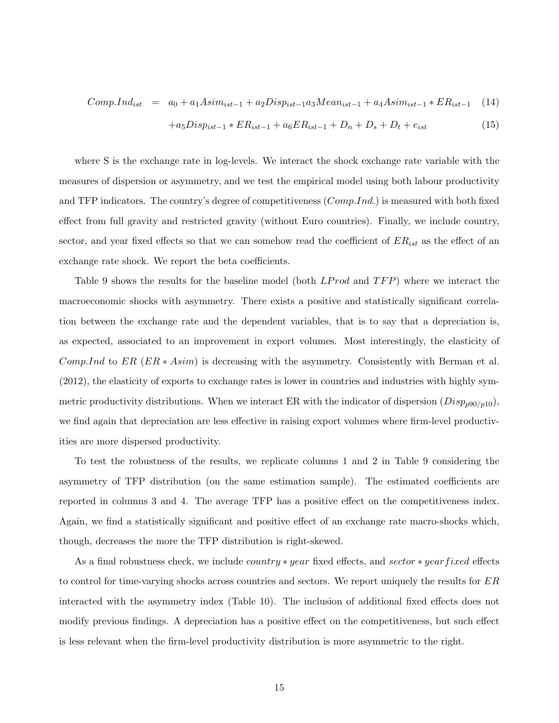$$
Comp. Ind_{ist} = a_0 + a_1 Asim_{ist-1} + a_2 Disp_{ist-1} a_3 Mean_{ist-1} + a_4 Asim_{ist-1} * ER_{ist-1} \quad (14)
$$

$$
+a_5 Disp_{ist-1} * ER_{ist-1} + a_6 ER_{ist-1} + D_n + D_s + D_t + e_{ist}
$$
\n
$$
(15)
$$

where S is the exchange rate in log-levels. We interact the shock exchange rate variable with the measures of dispersion or asymmetry, and we test the empirical model using both labour productivity and TFP indicators. The country's degree of competitiveness  $(Comp.Ind.)$  is measured with both fixed effect from full gravity and restricted gravity (without Euro countries). Finally, we include country, sector, and year fixed effects so that we can somehow read the coefficient of  $ER_{ist}$  as the effect of an exchange rate shock. We report the beta coefficients.

Table 9 shows the results for the baseline model (both  $LProd$  and  $TFP$ ) where we interact the macroeconomic shocks with asymmetry. There exists a positive and statistically significant correlation between the exchange rate and the dependent variables, that is to say that a depreciation is, as expected, associated to an improvement in export volumes. Most interestingly, the elasticity of Comp.Ind to ER  $(ER * Asim)$  is decreasing with the asymmetry. Consistently with Berman et al. (2012), the elasticity of exports to exchange rates is lower in countries and industries with highly symmetric productivity distributions. When we interact ER with the indicator of dispersion  $(Disp_{p90/p10})$ , we find again that depreciation are less effective in raising export volumes where firm-level productivities are more dispersed productivity.

To test the robustness of the results, we replicate columns 1 and 2 in Table 9 considering the asymmetry of TFP distribution (on the same estimation sample). The estimated coefficients are reported in columns 3 and 4. The average TFP has a positive effect on the competitiveness index. Again, we find a statistically significant and positive effect of an exchange rate macro-shocks which, though, decreases the more the TFP distribution is right-skewed.

As a final robustness check, we include *country ∗ year* fixed effects, and *sector ∗ year fixed* effects to control for time-varying shocks across countries and sectors. We report uniquely the results for ER interacted with the asymmetry index (Table 10). The inclusion of additional fixed effects does not modify previous findings. A depreciation has a positive effect on the competitiveness, but such effect is less relevant when the firm-level productivity distribution is more asymmetric to the right.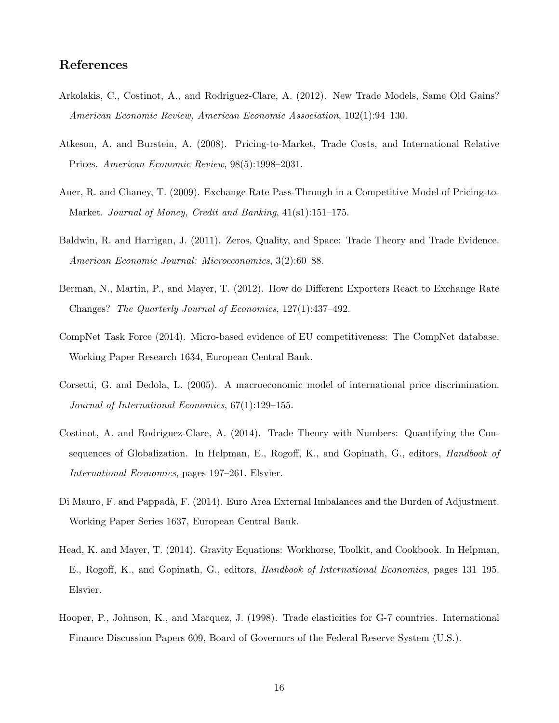# References

- Arkolakis, C., Costinot, A., and Rodriguez-Clare, A. (2012). New Trade Models, Same Old Gains? American Economic Review, American Economic Association, 102(1):94–130.
- Atkeson, A. and Burstein, A. (2008). Pricing-to-Market, Trade Costs, and International Relative Prices. American Economic Review, 98(5):1998–2031.
- Auer, R. and Chaney, T. (2009). Exchange Rate Pass-Through in a Competitive Model of Pricing-to-Market. Journal of Money, Credit and Banking, 41(s1):151–175.
- Baldwin, R. and Harrigan, J. (2011). Zeros, Quality, and Space: Trade Theory and Trade Evidence. American Economic Journal: Microeconomics, 3(2):60–88.
- Berman, N., Martin, P., and Mayer, T. (2012). How do Different Exporters React to Exchange Rate Changes? The Quarterly Journal of Economics, 127(1):437–492.
- CompNet Task Force (2014). Micro-based evidence of EU competitiveness: The CompNet database. Working Paper Research 1634, European Central Bank.
- Corsetti, G. and Dedola, L. (2005). A macroeconomic model of international price discrimination. Journal of International Economics, 67(1):129–155.
- Costinot, A. and Rodriguez-Clare, A. (2014). Trade Theory with Numbers: Quantifying the Consequences of Globalization. In Helpman, E., Rogoff, K., and Gopinath, G., editors, *Handbook of* International Economics, pages 197–261. Elsvier.
- Di Mauro, F. and Pappadà, F. (2014). Euro Area External Imbalances and the Burden of Adjustment. Working Paper Series 1637, European Central Bank.
- Head, K. and Mayer, T. (2014). Gravity Equations: Workhorse, Toolkit, and Cookbook. In Helpman, E., Rogoff, K., and Gopinath, G., editors, Handbook of International Economics, pages 131–195. Elsvier.
- Hooper, P., Johnson, K., and Marquez, J. (1998). Trade elasticities for G-7 countries. International Finance Discussion Papers 609, Board of Governors of the Federal Reserve System (U.S.).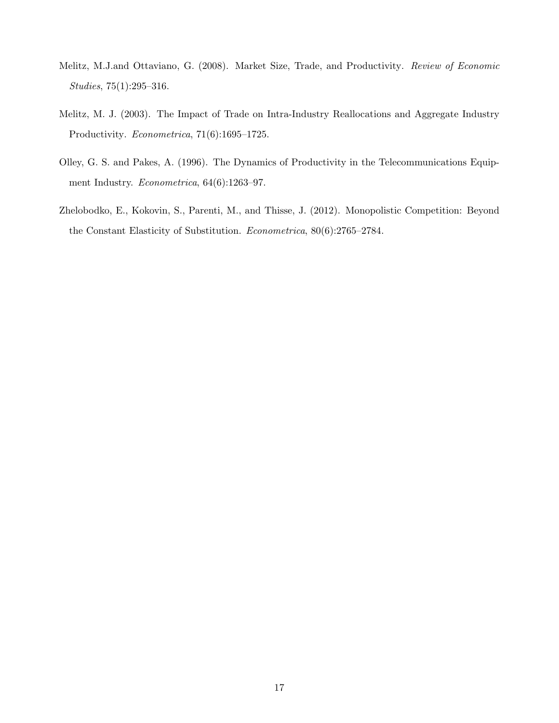- Melitz, M.J.and Ottaviano, G. (2008). Market Size, Trade, and Productivity. Review of Economic Studies, 75(1):295–316.
- Melitz, M. J. (2003). The Impact of Trade on Intra-Industry Reallocations and Aggregate Industry Productivity. Econometrica, 71(6):1695–1725.
- Olley, G. S. and Pakes, A. (1996). The Dynamics of Productivity in the Telecommunications Equipment Industry. Econometrica, 64(6):1263–97.
- Zhelobodko, E., Kokovin, S., Parenti, M., and Thisse, J. (2012). Monopolistic Competition: Beyond the Constant Elasticity of Substitution. Econometrica, 80(6):2765–2784.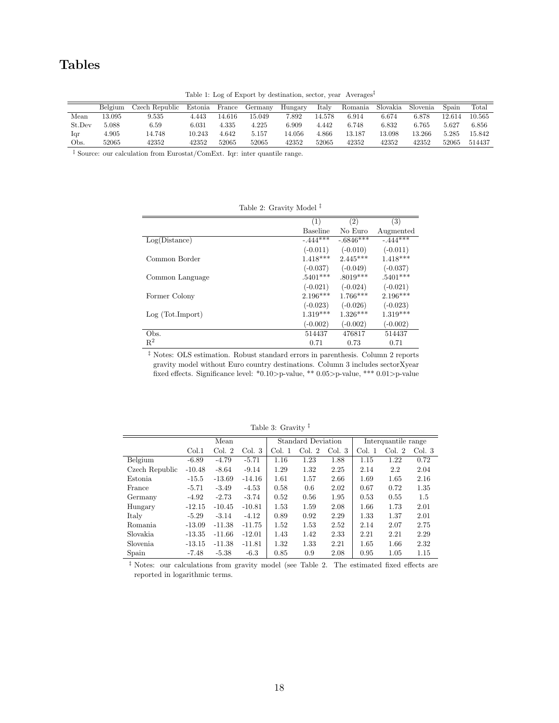# Tables

|        | Belgium | Czech Republic | Estonia | France | Germany | Hungary | Italy  | Romania | Slovakia | Slovenia | Spain  | Total  |
|--------|---------|----------------|---------|--------|---------|---------|--------|---------|----------|----------|--------|--------|
| Mean   | 13.095  | 9.535          | 4.443   | 14.616 | 15.049  | 7.892   | 14.578 | 6.914   | 6.674    | 6.878    | 12.614 | 10.565 |
| St.Dev | 5.088   | 6.59           | 6.031   | 4.335  | 4.225   | 6.909   | 4.442  | 6.748   | 6.832    | 6.765    | 5.627  | 6.856  |
| lqr    | 4.905   | 14.748         | 10.243  | 4.642  | 5.157   | 14.056  | 4.866  | 13.187  | 13.098   | 13.266   | 5.285  | 15.842 |
| Obs.   | 52065   | 42352          | 42352   | 52065  | 52065   | 42352   | 52065  | 42352   | 42352    | 42352    | 52065  | 514437 |

Table 1: Log of Export by destination, sector, year Averages‡

 $\overline{\phantom{a}^{\ddag}}$  <br> Source: our calculation from Eurostat/ComExt. Iqr: inter quantile range.

|                 | (1)        | $\left( 2\right)$ | (3)        |
|-----------------|------------|-------------------|------------|
|                 | Baseline   | No Euro           | Augmented  |
| Log(Distance)   | $-444***$  | $-.6846***$       | $-444***$  |
|                 | $(-0.011)$ | $(-0.010)$        | $(-0.011)$ |
| Common Border   | $1.418***$ | $2.445***$        | $1.418***$ |
|                 | $(-0.037)$ | $(-0.049)$        | $(-0.037)$ |
| Common Language | $.5401***$ | $.8019***$        | $.5401***$ |
|                 | $(-0.021)$ | $(-0.024)$        | $(-0.021)$ |
| Former Colony   | $2.196***$ | $1.766***$        | $2.196***$ |
|                 | $(-0.023)$ | $(-0.026)$        | $(-0.023)$ |
| Log(Tot.Import) | $1.319***$ | $1.326***$        | $1.319***$ |
|                 | $(-0.002)$ | $(-0.002)$        | $(-0.002)$ |
| Obs.            | 514437     | 476817            | 514437     |
| $R^2$           | 0.71       | 0.73              | 0.71       |

Table 2: Gravity Model ‡

‡ Notes: OLS estimation. Robust standard errors in parenthesis. Column 2 reports gravity model without Euro country destinations. Column 3 includes sectorXyear fixed effects. Significance level: \*0.10>p-value, \*\* 0.05>p-value, \*\*\* 0.01>p-value

Table 3: Gravity ‡

|                | Mean     |          |          | <b>Standard Deviation</b> |        |        | Interquantile range |        |        |
|----------------|----------|----------|----------|---------------------------|--------|--------|---------------------|--------|--------|
|                | Col.1    | Col. 2   | Col. 3   | Col. 1                    | Col. 2 | Col. 3 | Col. 1              | Col. 2 | Col. 3 |
| Belgium        | $-6.89$  | $-4.79$  | $-5.71$  | 1.16                      | 1.23   | 1.88   | 1.15                | 1.22   | 0.72   |
| Czech Republic | $-10.48$ | $-8.64$  | $-9.14$  | 1.29                      | 1.32   | 2.25   | 2.14                | 2.2    | 2.04   |
| Estonia.       | $-15.5$  | $-13.69$ | $-14.16$ | 1.61                      | 1.57   | 2.66   | 1.69                | 1.65   | 2.16   |
| France         | $-5.71$  | $-3.49$  | $-4.53$  | 0.58                      | 0.6    | 2.02   | 0.67                | 0.72   | 1.35   |
| Germany        | $-4.92$  | $-2.73$  | $-3.74$  | 0.52                      | 0.56   | 1.95   | 0.53                | 0.55   | 1.5    |
| Hungary        | $-12.15$ | $-10.45$ | $-10.81$ | 1.53                      | 1.59   | 2.08   | 1.66                | 1.73   | 2.01   |
| Italy          | $-5.29$  | $-3.14$  | $-4.12$  | 0.89                      | 0.92   | 2.29   | 1.33                | 1.37   | 2.01   |
| Romania        | $-13.09$ | $-11.38$ | $-11.75$ | 1.52                      | 1.53   | 2.52   | 2.14                | 2.07   | 2.75   |
| Slovakia       | $-13.35$ | $-11.66$ | $-12.01$ | 1.43                      | 1.42   | 2.33   | 2.21                | 2.21   | 2.29   |
| Slovenia.      | $-13.15$ | $-11.38$ | $-11.81$ | 1.32                      | 1.33   | 2.21   | 1.65                | 1.66   | 2.32   |
| Spain          | $-7.48$  | $-5.38$  | $-6.3$   | 0.85                      | 0.9    | 2.08   | 0.95                | 1.05   | 1.15   |

‡ Notes: our calculations from gravity model (see Table 2. The estimated fixed effects are reported in logarithmic terms.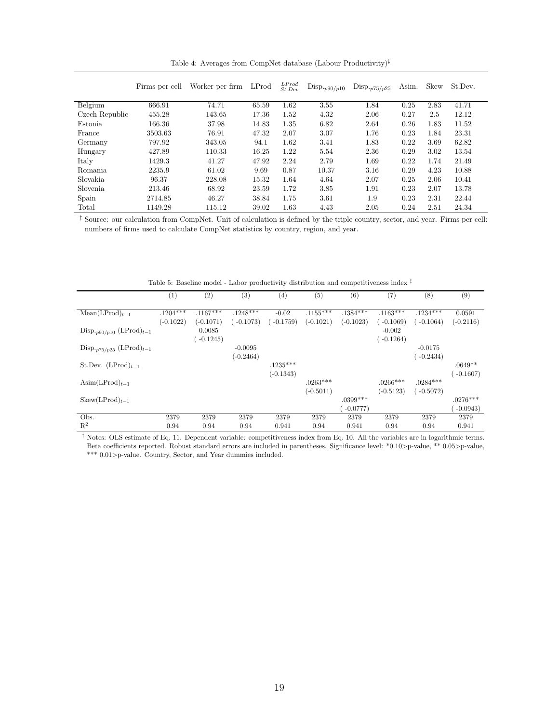Table 4: Averages from CompNet database (Labour Productivity)‡

|                | Firms per cell | Worker per firm | LProd | $\frac{LProd}{St. Dev}$ | $\mathrm{Disp.}_{p90/p10}$ | $\mathrm{Disp}_{\cdot p75/p25}$ | Asim. | Skew | St.Dev. |
|----------------|----------------|-----------------|-------|-------------------------|----------------------------|---------------------------------|-------|------|---------|
| Belgium        | 666.91         | 74.71           | 65.59 | 1.62                    | 3.55                       | 1.84                            | 0.25  | 2.83 | 41.71   |
| Czech Republic | 455.28         | 143.65          | 17.36 | 1.52                    | 4.32                       | 2.06                            | 0.27  | 2.5  | 12.12   |
| Estonia        | 166.36         | 37.98           | 14.83 | 1.35                    | 6.82                       | 2.64                            | 0.26  | 1.83 | 11.52   |
| France         | 3503.63        | 76.91           | 47.32 | 2.07                    | 3.07                       | 1.76                            | 0.23  | 1.84 | 23.31   |
| Germany        | 797.92         | 343.05          | 94.1  | 1.62                    | 3.41                       | 1.83                            | 0.22  | 3.69 | 62.82   |
| Hungary        | 427.89         | 110.33          | 16.25 | 1.22                    | 5.54                       | 2.36                            | 0.29  | 3.02 | 13.54   |
| Italy          | 1429.3         | 41.27           | 47.92 | 2.24                    | 2.79                       | 1.69                            | 0.22  | 1.74 | 21.49   |
| Romania        | 2235.9         | 61.02           | 9.69  | 0.87                    | 10.37                      | 3.16                            | 0.29  | 4.23 | 10.88   |
| Slovakia       | 96.37          | 228.08          | 15.32 | 1.64                    | 4.64                       | 2.07                            | 0.25  | 2.06 | 10.41   |
| Slovenia       | 213.46         | 68.92           | 23.59 | 1.72                    | 3.85                       | 1.91                            | 0.23  | 2.07 | 13.78   |
| Spain          | 2714.85        | 46.27           | 38.84 | 1.75                    | 3.61                       | 1.9                             | 0.23  | 2.31 | 22.44   |
| Total          | 1149.28        | 115.12          | 39.02 | 1.63                    | 4.43                       | 2.05                            | 0.24  | 2.51 | 24.34   |

‡ Source: our calculation from CompNet. Unit of calculation is defined by the triple country, sector, and year. Firms per cell: numbers of firms used to calculate CompNet statistics by country, region, and year.

Table 5: Baseline model - Labor productivity distribution and competitiveness index  $^\ddag$ 

|                                                | (1)         | (2)         | (3)         | $\left(4\right)$ | (5)         | (6)         | (7)         | (8)        | (9)         |
|------------------------------------------------|-------------|-------------|-------------|------------------|-------------|-------------|-------------|------------|-------------|
|                                                |             |             |             |                  |             |             |             |            |             |
| $Mean(LProd)_{t-1}$                            | $.1204***$  | $.1167***$  | $.1248***$  | $-0.02$          | $.1155***$  | $.1384***$  | $.1163***$  | $.1234***$ | 0.0591      |
|                                                | $(-0.1022)$ | $(-0.1071)$ | $-0.1073)$  | $-0.1759)$       | $(-0.1021)$ | $(-0.1023)$ | $-0.1069$   | $-0.1064)$ | $(-0.2116)$ |
| $\text{Disp}_{p90/p10}$ (LProd) <sub>t-1</sub> |             | 0.0085      |             |                  |             |             | $-0.002$    |            |             |
|                                                |             | $-0.1245)$  |             |                  |             |             | $-0.1264)$  |            |             |
| Disp. $p_{75/p25}$ (LProd) $_{t-1}$            |             |             | $-0.0095$   |                  |             |             |             | $-0.0175$  |             |
|                                                |             |             | $(-0.2464)$ |                  |             |             |             | $-0.2434)$ |             |
| St.Dev. $(LProd)_{t-1}$                        |             |             |             | $.1235***$       |             |             |             |            | $.0649**$   |
|                                                |             |             |             | $(-0.1343)$      |             |             |             |            | $-0.1607$   |
| $\text{Asim}(\text{LProd})_{t-1}$              |             |             |             |                  | $.0263***$  |             | $.0266***$  | $.0284***$ |             |
|                                                |             |             |             |                  | $(-0.5011)$ |             | $(-0.5123)$ | $-0.5072$  |             |
| $Skew(LProd)_{t-1}$                            |             |             |             |                  |             | $.0399***$  |             |            | $.0276***$  |
|                                                |             |             |             |                  |             | $-0.0777$   |             |            | $-0.0943$   |
| Obs.                                           | 2379        | 2379        | 2379        | 2379             | 2379        | 2379        | 2379        | 2379       | 2379        |
| $\mathbb{R}^2$                                 | 0.94        | 0.94        | 0.94        | 0.941            | 0.94        | 0.941       | 0.94        | 0.94       | 0.941       |

‡ Notes: OLS estimate of Eq. 11. Dependent variable: competitiveness index from Eq. 10. All the variables are in logarithmic terms. Beta coefficients reported. Robust standard errors are included in parentheses. Significance level: \*0.10>p-value, \*\* 0.05>p-value,  $\ast\ast\ast$  0.01>p-value. Country, Sector, and Year dummies included.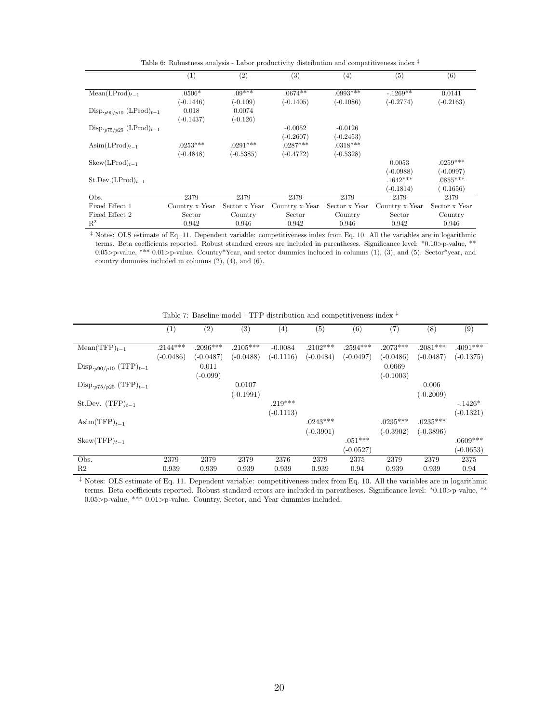Table 6: Robustness analysis - Labor productivity distribution and competitiveness index  $\frac{1}{k}$ 

|                                               | $^{(1)}$       | (2)           | (3)            | (4)           | (5)            | (6)           |
|-----------------------------------------------|----------------|---------------|----------------|---------------|----------------|---------------|
| $Mean(LProd)_{t-1}$                           | $.0506*$       | $.09***$      | $.0674**$      | $.0993***$    | $-1269**$      | 0.0141        |
|                                               | $(-0.1446)$    | $(-0.109)$    | $(-0.1405)$    | $(-0.1086)$   | $(-0.2774)$    | $(-0.2163)$   |
| Disp. $_{p90/p10}$ (LProd) $_{t-1}$           | 0.018          | 0.0074        |                |               |                |               |
|                                               | $(-0.1437)$    | $(-0.126)$    |                |               |                |               |
| $\text{Disp.}_{p75/p25} (\text{LProd})_{t-1}$ |                |               | $-0.0052$      | $-0.0126$     |                |               |
|                                               |                |               | $(-0.2607)$    | $(-0.2453)$   |                |               |
| $\text{Asim}(\text{LProd})_{t-1}$             | $.0253***$     | $.0291***$    | $.0287***$     | $.0318***$    |                |               |
|                                               | $(-0.4848)$    | $(-0.5385)$   | $(-0.4772)$    | $(-0.5328)$   |                |               |
| $Skew(LProd)_{t-1}$                           |                |               |                |               | 0.0053         | $.0259***$    |
|                                               |                |               |                |               | $(-0.0988)$    | $(-0.0997)$   |
| $St.Dev.(LProd)t-1$                           |                |               |                |               | $.1642***$     | $.0855***$    |
|                                               |                |               |                |               | $(-0.1814)$    | 0.1656        |
| Obs.                                          | 2379           | 2379          | 2379           | 2379          | 2379           | 2379          |
| Fixed Effect 1                                | Country x Year | Sector x Year | Country x Year | Sector x Year | Country x Year | Sector x Year |
| Fixed Effect 2                                | Sector         | Country       | Sector         | Country       | Sector         | Country       |
| $R^2$                                         | 0.942          | 0.946         | 0.942          | 0.946         | 0.942          | 0.946         |

 $<sup>\ddagger</sup>$  Notes: OLS estimate of Eq. 11. Dependent variable: competitiveness index from Eq. 10. All the variables are in logarithmic</sup> terms. Beta coefficients reported. Robust standard errors are included in parentheses. Significance level: \*0.10>p-value, \*\* 0.05>p-value, \*\*\* 0.01>p-value. Country\*Year, and sector dummies included in columns (1), (3), and (5). Sector\*year, and country dummies included in columns (2), (4), and (6).

|                                             | (1)         |                   | (3)         | (4)         | (5)         |             | $\left( 7\right)$ | (8)         | (9)         |
|---------------------------------------------|-------------|-------------------|-------------|-------------|-------------|-------------|-------------------|-------------|-------------|
|                                             |             | $\left( 2\right)$ |             |             |             | (6)         |                   |             |             |
|                                             |             |                   |             |             |             |             |                   |             |             |
| $Mean(TFP)_{t-1}$                           | $.2144***$  | $.2096***$        | $.2105***$  | $-0.0084$   | $.2102***$  | $.2594***$  | $.2073***$        | $.2081***$  | $.4091***$  |
|                                             | $(-0.0486)$ | $(-0.0487)$       | $(-0.0488)$ | $(-0.1116)$ | $(-0.0484)$ | $(-0.0497)$ | $(-0.0486)$       | $(-0.0487)$ | $(-0.1375)$ |
| $\text{Disp.}_{p90/p10} (\text{TFP})_{t-1}$ |             | 0.011             |             |             |             |             | 0.0069            |             |             |
|                                             |             | $(-0.099)$        |             |             |             |             | $(-0.1003)$       |             |             |
| $\text{Disp.}_{p75/p25} (\text{TFP})_{t-1}$ |             |                   | 0.0107      |             |             |             |                   | 0.006       |             |
|                                             |             |                   | $(-0.1991)$ |             |             |             |                   | $(-0.2009)$ |             |
| St.Dev. $(TFP)_{t-1}$                       |             |                   |             | $.219***$   |             |             |                   |             | $-.1426*$   |
|                                             |             |                   |             | $(-0.1113)$ |             |             |                   |             | $(-0.1321)$ |
| $\text{Asim(TFP)}_{t-1}$                    |             |                   |             |             | $.0243***$  |             | $.0235***$        | $.0235***$  |             |
|                                             |             |                   |             |             | $(-0.3901)$ |             | $(-0.3902)$       | $(-0.3896)$ |             |
| $Skew(TFP)t-1$                              |             |                   |             |             |             | $.051***$   |                   |             | $.0609***$  |
|                                             |             |                   |             |             |             | $(-0.0527)$ |                   |             | $(-0.0653)$ |
| Obs.                                        | 2379        | 2379              | 2379        | 2376        | 2379        | 2375        | 2379              | 2379        | 2375        |
| R <sub>2</sub>                              | 0.939       | 0.939             | 0.939       | 0.939       | 0.939       | 0.94        | 0.939             | 0.939       | 0.94        |

Table 7: Baseline model - TFP distribution and competitiveness index  $^\ddag$ 

‡ Notes: OLS estimate of Eq. 11. Dependent variable: competitiveness index from Eq. 10. All the variables are in logarithmic terms. Beta coefficients reported. Robust standard errors are included in parentheses. Significance level: \*0.10>p-value, \*\* 0.05>p-value, \*\*\* 0.01>p-value. Country, Sector, and Year dummies included.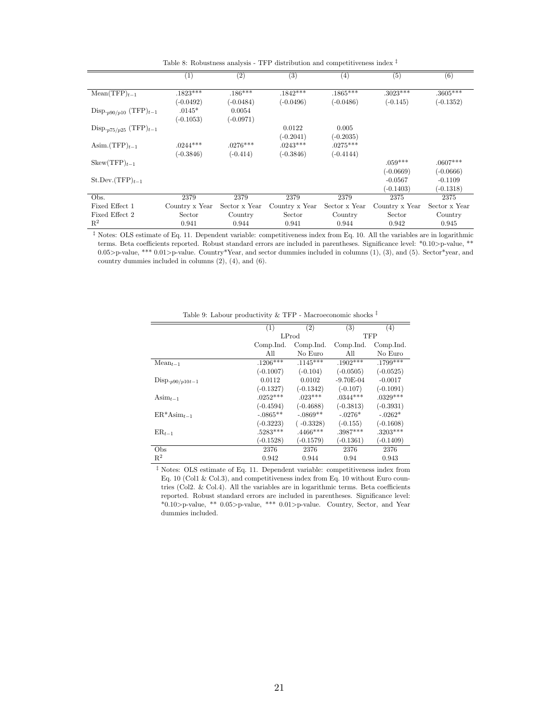Table 8: Robustness analysis - TFP distribution and competitiveness index ‡

|                                   | (1)            | $\left( 2\right)$ | $\left( 3\right)$ | (4)           | (5)            | (6)           |
|-----------------------------------|----------------|-------------------|-------------------|---------------|----------------|---------------|
|                                   |                |                   |                   |               |                |               |
| $Mean(TFP)_{t-1}$                 | $.1823***$     | $.186***$         | $.1842***$        | $.1865***$    | $.3023***$     | $.3605***$    |
|                                   | $(-0.0492)$    | $(-0.0484)$       | $(-0.0496)$       | $(-0.0486)$   | $(-0.145)$     | $(-0.1352)$   |
| Disp. $_{p90/p10}$ (TFP) $_{t-1}$ | $.0145*$       | 0.0054            |                   |               |                |               |
|                                   | $(-0.1053)$    | $(-0.0971)$       |                   |               |                |               |
| Disp. $_{p75/p25}$ (TFP) $_{t-1}$ |                |                   | 0.0122            | 0.005         |                |               |
|                                   |                |                   | $(-0.2041)$       | $(-0.2035)$   |                |               |
| Asim. $(TFP)_{t-1}$               | $.0244***$     | $.0276***$        | $.0243***$        | $.0275***$    |                |               |
|                                   | $(-0.3846)$    | $(-0.414)$        | $(-0.3846)$       | $(-0.4144)$   |                |               |
| $Skew(TFP)_{t-1}$                 |                |                   |                   |               | $.059***$      | $.0607***$    |
|                                   |                |                   |                   |               | $(-0.0669)$    | $(-0.0666)$   |
| $St. Dev. (TFP)t-1$               |                |                   |                   |               | $-0.0567$      | $-0.1109$     |
|                                   |                |                   |                   |               | $(-0.1403)$    | $(-0.1318)$   |
| Obs.                              | 2379           | 2379              | 2379              | 2379          | 2375           | 2375          |
| Fixed Effect 1                    | Country x Year | Sector x Year     | Country x Year    | Sector x Year | Country x Year | Sector x Year |
| Fixed Effect 2                    | Sector         | Country           | Sector            | Country       | Sector         | Country       |
| $R^2$                             | 0.941          | 0.944             | 0.941             | 0.944         | 0.942          | 0.945         |

 $^\ddag$  Notes: OLS estimate of Eq. 11. Dependent variable: competitiveness index from Eq. 10. All the variables are in logarithmic terms. Beta coefficients reported. Robust standard errors are included in parentheses. Significance level: \*0.10>p-value, \*\* 0.05>p-value, \*\*\* 0.01>p-value. Country\*Year, and sector dummies included in columns (1), (3), and (5). Sector\*year, and country dummies included in columns (2), (4), and (6).

|                             | (1)         | (2)         | (3)         | (4)         |
|-----------------------------|-------------|-------------|-------------|-------------|
|                             |             | LProd       |             | TFP         |
|                             | Comp.Ind.   | Comp.Ind.   | Comp.Ind.   | Comp.Ind.   |
|                             | All         | No Euro     | All         | No Euro     |
| $Mean_{t-1}$                | $.1206***$  | $.1145***$  | $.1902***$  | $.1799***$  |
|                             | $(-0.1007)$ | $(-0.104)$  | $(-0.0505)$ | $(-0.0525)$ |
| $\text{Disp.}_{p90/p10t-1}$ | 0.0112      | 0.0102      | $-9.70E-04$ | $-0.0017$   |
|                             | $(-0.1327)$ | $(-0.1342)$ | $(-0.107)$  | $(-0.1091)$ |
| Asi $m_{t-1}$               | $.0252***$  | $.023***$   | $.0344***$  | $.0329***$  |
|                             | $(-0.4594)$ | $(-0.4688)$ | $(-0.3813)$ | $(-0.3931)$ |
| $ER^*Asim_{t-1}$            | $-.0865**$  | $-.0869**$  | $-.0276*$   | $-.0262*$   |
|                             | $(-0.3223)$ | $(-0.3328)$ | $(-0.155)$  | $(-0.1608)$ |
| $ER_{t-1}$                  | $.5283***$  | $.4466***$  | $.3987***$  | $.3203***$  |
|                             | $(-0.1528)$ | $(-0.1579)$ | $(-0.1361)$ | $(-0.1409)$ |
| Obs                         | 2376        | 2376        | 2376        | 2376        |
| $\mathbb{R}^2$              | 0.942       | 0.944       | 0.94        | 0.943       |

Table 9: Labour productivity  $\&$  TFP - Macroeconomic shocks  $^\ddag$ 

‡ Notes: OLS estimate of Eq. 11. Dependent variable: competitiveness index from Eq. 10 (Col1 & Col.3), and competitiveness index from Eq. 10 without Euro countries (Col2. & Col.4). All the variables are in logarithmic terms. Beta coefficients reported. Robust standard errors are included in parentheses. Significance level: \*0.10>p-value, \*\* 0.05>p-value, \*\*\* 0.01>p-value. Country, Sector, and Year dummies included.